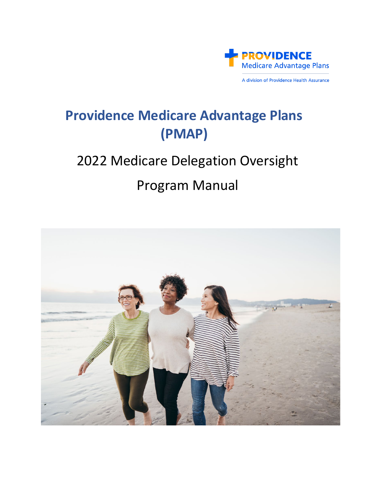

A division of Providence Health Assurance

# **Providence Medicare Advantage Plans (PMAP)**

# 2022 Medicare Delegation Oversight

# Program Manual

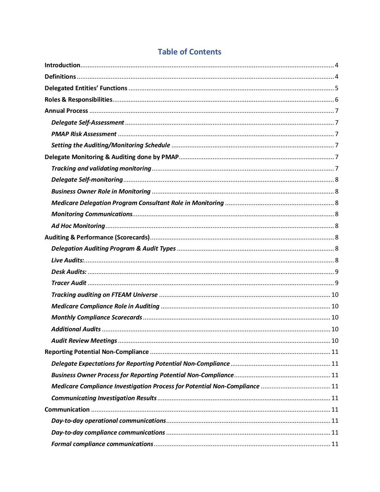| Medicare Compliance Investigation Process for Potential Non-Compliance  11 |  |
|----------------------------------------------------------------------------|--|
|                                                                            |  |
|                                                                            |  |
|                                                                            |  |
|                                                                            |  |
|                                                                            |  |

# **Table of Contents**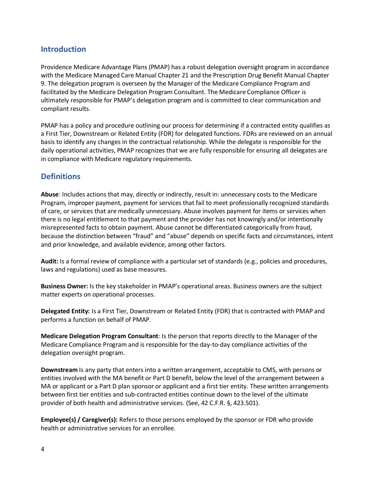# <span id="page-3-0"></span>**Introduction**

Providence Medicare Advantage Plans (PMAP) has a robust delegation oversight program in accordance with the Medicare Managed Care Manual Chapter 21 and the Prescription Drug Benefit Manual Chapter 9. The delegation program is overseen by the Manager of the Medicare Compliance Program and facilitated by the Medicare Delegation Program Consultant. The Medicare Compliance Officer is ultimately responsible for PMAP's delegation program and is committed to clear communication and compliant results.

PMAP has a policy and procedure outlining our process for determining if a contracted entity qualifies as a First Tier, Downstream or Related Entity (FDR) for delegated functions. FDRs are reviewed on an annual basis to identify any changes in the contractual relationship. While the delegate is responsible for the daily operational activities, PMAP recognizes that we are fully responsible for ensuring all delegates are in compliance with Medicare regulatory requirements.

# <span id="page-3-1"></span>**Definitions**

**Abuse**: Includes actions that may, directly or indirectly, result in: unnecessary costs to the Medicare Program, improper payment, payment for services that fail to meet professionally recognized standards of care, or services that are medically unnecessary. Abuse involves payment for items or services when there is no legal entitlement to that payment and the provider has not knowingly and/or intentionally misrepresented facts to obtain payment. Abuse cannot be differentiated categorically from fraud, because the distinction between "fraud" and "abuse" depends on specific facts and circumstances, intent and prior knowledge, and available evidence, among other factors.

**Audit:** Is a formal review of compliance with a particular set of standards (e.g., policies and procedures, laws and regulations) used as base measures.

**Business Owner:** Is the key stakeholder in PMAP's operational areas. Business owners are the subject matter experts on operational processes.

**Delegated Entity:** Is a First Tier, Downstream or Related Entity (FDR) that is contracted with PMAP and performs a function on behalf of PMAP.

**Medicare Delegation Program Consultant**: Is the person that reports directly to the Manager of the Medicare Compliance Program and is responsible for the day-to-day compliance activities of the delegation oversight program.

**Downstream** Is any party that enters into a written arrangement, acceptable to CMS, with persons or entities involved with the MA benefit or Part D benefit, below the level of the arrangement between a MA or applicant or a Part D plan sponsor or applicant and a first tier entity. These written arrangements between first tier entities and sub-contracted entities continue down to the level of the ultimate provider of both health and administrative services. (See, 42 C.F.R. §, 423.501).

**Employee(s) / Caregiver(s):** Refers to those persons employed by the sponsor or FDR who provide health or administrative services for an enrollee.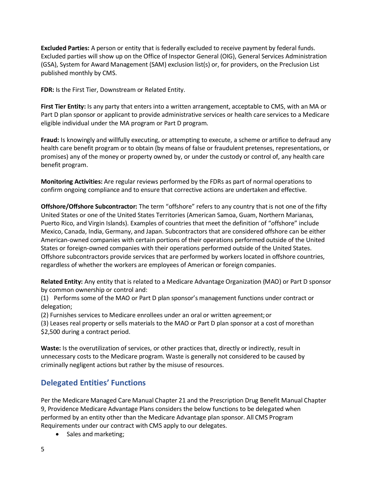**Excluded Parties:** A person or entity that is federally excluded to receive payment by federal funds. Excluded parties will show up on the Office of Inspector General (OIG), General Services Administration (GSA), System for Award Management (SAM) exclusion list(s) or, for providers, on the Preclusion List published monthly by CMS.

**FDR:** Is the First Tier, Downstream or Related Entity.

**First Tier Entity:** Is any party that enters into a written arrangement, acceptable to CMS, with an MA or Part D plan sponsor or applicant to provide administrative services or health care services to a Medicare eligible individual under the MA program or Part D program.

**Fraud:** Is knowingly and willfully executing, or attempting to execute, a scheme or artifice to defraud any health care benefit program or to obtain (by means of false or fraudulent pretenses, representations, or promises) any of the money or property owned by, or under the custody or control of, any health care benefit program.

**Monitoring Activities:** Are regular reviews performed by the FDRs as part of normal operations to confirm ongoing compliance and to ensure that corrective actions are undertaken and effective.

**Offshore/Offshore Subcontractor:** The term "offshore" refers to any country that is not one of the fifty United States or one of the United States Territories (American Samoa, Guam, Northern Marianas, Puerto Rico, and Virgin Islands). Examples of countries that meet the definition of "offshore" include Mexico, Canada, India, Germany, and Japan. Subcontractors that are considered offshore can be either American-owned companies with certain portions of their operations performed outside of the United States or foreign-owned companies with their operations performed outside of the United States. Offshore subcontractors provide services that are performed by workers located in offshore countries, regardless of whether the workers are employees of American or foreign companies.

**Related Entity:** Any entity that is related to a Medicare Advantage Organization (MAO) or Part D sponsor by common ownership or control and:

(1) Performs some of the MAO or Part D plan sponsor's management functions under contract or delegation;

(2) Furnishes services to Medicare enrollees under an oral or written agreement;or

(3) Leases real property or sells materials to the MAO or Part D plan sponsor at a cost of morethan \$2,500 during a contract period.

**Waste:** Is the overutilization of services, or other practices that, directly or indirectly, result in unnecessary costs to the Medicare program. Waste is generally not considered to be caused by criminally negligent actions but rather by the misuse of resources.

# <span id="page-4-0"></span>**Delegated Entities' Functions**

Per the Medicare Managed Care Manual Chapter 21 and the Prescription Drug Benefit Manual Chapter 9, Providence Medicare Advantage Plans considers the below functions to be delegated when performed by an entity other than the Medicare Advantage plan sponsor. All CMS Program Requirements under our contract with CMS apply to our delegates.

• Sales and marketing;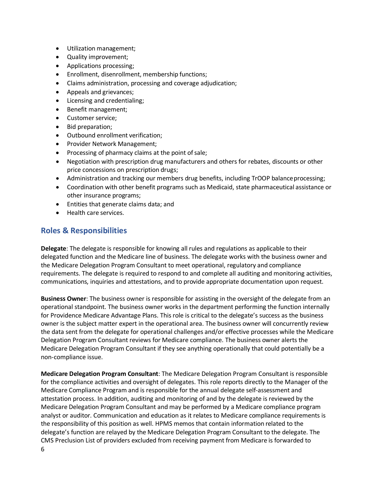- Utilization management;
- Quality improvement;
- Applications processing;
- Enrollment, disenrollment, membership functions;
- Claims administration, processing and coverage adjudication;
- Appeals and grievances;
- Licensing and credentialing;
- Benefit management;
- Customer service;
- Bid preparation;
- Outbound enrollment verification;
- Provider Network Management;
- Processing of pharmacy claims at the point of sale;
- Negotiation with prescription drug manufacturers and others for rebates, discounts or other price concessions on prescription drugs;
- Administration and tracking our members drug benefits, including TrOOP balance processing;
- Coordination with other benefit programs such as Medicaid, state pharmaceutical assistance or other insurance programs;
- Entities that generate claims data; and
- Health care services.

# <span id="page-5-0"></span>**Roles & Responsibilities**

**Delegate**: The delegate is responsible for knowing all rules and regulations as applicable to their delegated function and the Medicare line of business. The delegate works with the business owner and the Medicare Delegation Program Consultant to meet operational, regulatory and compliance requirements. The delegate is required to respond to and complete all auditing and monitoring activities, communications, inquiries and attestations, and to provide appropriate documentation upon request.

**Business Owner**: The business owner is responsible for assisting in the oversight of the delegate from an operational standpoint. The business owner works in the department performing the function internally for Providence Medicare Advantage Plans. This role is critical to the delegate's success as the business owner is the subject matter expert in the operational area. The business owner will concurrently review the data sent from the delegate for operational challenges and/or effective processes while the Medicare Delegation Program Consultant reviews for Medicare compliance. The business owner alerts the Medicare Delegation Program Consultant if they see anything operationally that could potentially be a non-compliance issue.

6 **Medicare Delegation Program Consultant**: The Medicare Delegation Program Consultant is responsible for the compliance activities and oversight of delegates. This role reports directly to the Manager of the Medicare Compliance Program and is responsible for the annual delegate self-assessment and attestation process. In addition, auditing and monitoring of and by the delegate is reviewed by the Medicare Delegation Program Consultant and may be performed by a Medicare compliance program analyst or auditor. Communication and education as it relates to Medicare compliance requirements is the responsibility of this position as well. HPMS memos that contain information related to the delegate's function are relayed by the Medicare Delegation Program Consultant to the delegate. The CMS Preclusion List of providers excluded from receiving payment from Medicare is forwarded to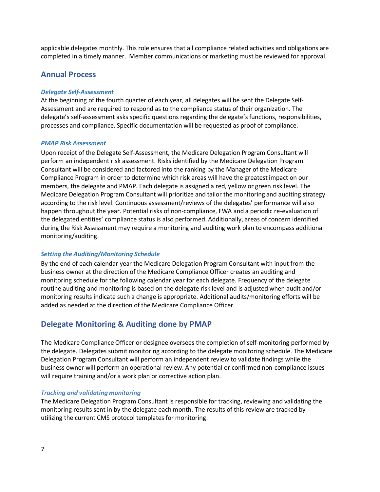applicable delegates monthly. This role ensures that all compliance related activities and obligations are completed in a timely manner. Member communications or marketing must be reviewed for approval.

# <span id="page-6-0"></span>**Annual Process**

#### <span id="page-6-1"></span>*Delegate Self-Assessment*

At the beginning of the fourth quarter of each year, all delegates will be sent the Delegate Self-Assessment and are required to respond as to the compliance status of their organization. The delegate's self-assessment asks specific questions regarding the delegate's functions, responsibilities, processes and compliance. Specific documentation will be requested as proof of compliance.

#### <span id="page-6-2"></span>*PMAP Risk Assessment*

Upon receipt of the Delegate Self-Assessment, the Medicare Delegation Program Consultant will perform an independent risk assessment. Risks identified by the Medicare Delegation Program Consultant will be considered and factored into the ranking by the Manager of the Medicare Compliance Program in order to determine which risk areas will have the greatest impact on our members, the delegate and PMAP. Each delegate is assigned a red, yellow or green risk level. The Medicare Delegation Program Consultant will prioritize and tailor the monitoring and auditing strategy according to the risk level. Continuous assessment/reviews of the delegates' performance will also happen throughout the year. Potential risks of non-compliance, FWA and a periodic re-evaluation of the delegated entities' compliance status is also performed. Additionally, areas of concern identified during the Risk Assessment may require a monitoring and auditing work plan to encompass additional monitoring/auditing.

## <span id="page-6-3"></span>*Setting the Auditing/Monitoring Schedule*

By the end of each calendar year the Medicare Delegation Program Consultant with input from the business owner at the direction of the Medicare Compliance Officer creates an auditing and monitoring schedule for the following calendar year for each delegate. Frequency of the delegate routine auditing and monitoring is based on the delegate risk level and is adjusted when audit and/or monitoring results indicate such a change is appropriate. Additional audits/monitoring efforts will be added as needed at the direction of the Medicare Compliance Officer.

# <span id="page-6-4"></span>**Delegate Monitoring & Auditing done by PMAP**

The Medicare Compliance Officer or designee oversees the completion of self-monitoring performed by the delegate. Delegates submit monitoring according to the delegate monitoring schedule. The Medicare Delegation Program Consultant will perform an independent review to validate findings while the business owner will perform an operational review. Any potential or confirmed non-compliance issues will require training and/or a work plan or corrective action plan.

## <span id="page-6-5"></span>*Tracking and validating monitoring*

The Medicare Delegation Program Consultant is responsible for tracking, reviewing and validating the monitoring results sent in by the delegate each month. The results of this review are tracked by utilizing the current CMS protocol templates for monitoring.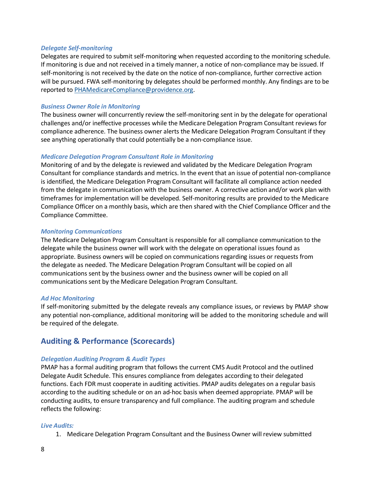#### <span id="page-7-0"></span>*Delegate Self-monitoring*

Delegates are required to submit self-monitoring when requested according to the monitoring schedule. If monitoring is due and not received in a timely manner, a notice of non-compliance may be issued. If self-monitoring is not received by the date on the notice of non-compliance, further corrective action will be pursued. FWA self-monitoring by delegates should be performed monthly. Any findings are to be reported to [PHAMedicareCompliance@providence.org.](mailto:PHAMedicareCompliance@providence.org)

#### <span id="page-7-1"></span>*Business Owner Role in Monitoring*

The business owner will concurrently review the self-monitoring sent in by the delegate for operational challenges and/or ineffective processes while the Medicare Delegation Program Consultant reviews for compliance adherence. The business owner alerts the Medicare Delegation Program Consultant if they see anything operationally that could potentially be a non-compliance issue.

#### <span id="page-7-2"></span>*Medicare Delegation Program Consultant Role in Monitoring*

Monitoring of and by the delegate is reviewed and validated by the Medicare Delegation Program Consultant for compliance standards and metrics. In the event that an issue of potential non-compliance is identified, the Medicare Delegation Program Consultant will facilitate all compliance action needed from the delegate in communication with the business owner. A corrective action and/or work plan with timeframes for implementation will be developed. Self-monitoring results are provided to the Medicare Compliance Officer on a monthly basis, which are then shared with the Chief Compliance Officer and the Compliance Committee.

#### <span id="page-7-3"></span>*Monitoring Communications*

The Medicare Delegation Program Consultant is responsible for all compliance communication to the delegate while the business owner will work with the delegate on operational issues found as appropriate. Business owners will be copied on communications regarding issues or requests from the delegate as needed. The Medicare Delegation Program Consultant will be copied on all communications sent by the business owner and the business owner will be copied on all communications sent by the Medicare Delegation Program Consultant.

#### <span id="page-7-4"></span>*Ad Hoc Monitoring*

If self-monitoring submitted by the delegate reveals any compliance issues, or reviews by PMAP show any potential non-compliance, additional monitoring will be added to the monitoring schedule and will be required of the delegate.

# <span id="page-7-5"></span>**Auditing & Performance (Scorecards)**

## <span id="page-7-6"></span>*Delegation Auditing Program & Audit Types*

PMAP has a formal auditing program that follows the current CMS Audit Protocol and the outlined Delegate Audit Schedule. This ensures compliance from delegates according to their delegated functions. Each FDR must cooperate in auditing activities. PMAP audits delegates on a regular basis according to the auditing schedule or on an ad-hoc basis when deemed appropriate. PMAP will be conducting audits, to ensure transparency and full compliance. The auditing program and schedule reflects the following:

#### <span id="page-7-7"></span>*Live Audits:*

1. Medicare Delegation Program Consultant and the Business Owner will review submitted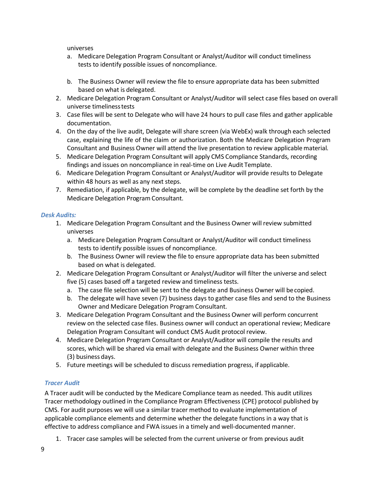universes

- a. Medicare Delegation Program Consultant or Analyst/Auditor will conduct timeliness tests to identify possible issues of noncompliance.
- b. The Business Owner will review the file to ensure appropriate data has been submitted based on what is delegated.
- 2. Medicare Delegation Program Consultant or Analyst/Auditor will select case files based on overall universe timelinesstests
- 3. Case files will be sent to Delegate who will have 24 hours to pull case files and gather applicable documentation.
- 4. On the day of the live audit, Delegate will share screen (via WebEx) walk through each selected case, explaining the life of the claim or authorization. Both the Medicare Delegation Program Consultant and Business Owner will attend the live presentation to review applicablematerial.
- 5. Medicare Delegation Program Consultant will apply CMS Compliance Standards, recording findings and issues on noncompliance in real-time on Live Audit Template.
- 6. Medicare Delegation Program Consultant or Analyst/Auditor will provide results to Delegate within 48 hours as well as any next steps.
- 7. Remediation, if applicable, by the delegate, will be complete by the deadline set forth by the Medicare Delegation Program Consultant.

## <span id="page-8-0"></span>*Desk Audits:*

- 1. Medicare Delegation Program Consultant and the Business Owner will review submitted universes
	- a. Medicare Delegation Program Consultant or Analyst/Auditor will conduct timeliness tests to identify possible issues of noncompliance.
	- b. The Business Owner will review the file to ensure appropriate data has been submitted based on what is delegated.
- 2. Medicare Delegation Program Consultant or Analyst/Auditor will filter the universe and select five (5) cases based off a targeted review and timeliness tests.
	- a. The case file selection will be sent to the delegate and Business Owner will becopied.
	- b. The delegate will have seven (7) business days to gather case files and send to the Business Owner and Medicare Delegation Program Consultant.
- 3. Medicare Delegation Program Consultant and the Business Owner will perform concurrent review on the selected case files. Business owner will conduct an operational review; Medicare Delegation Program Consultant will conduct CMS Audit protocol review.
- 4. Medicare Delegation Program Consultant or Analyst/Auditor will compile the results and scores, which will be shared via email with delegate and the Business Owner within three (3) business days.
- 5. Future meetings will be scheduled to discuss remediation progress, if applicable.

## <span id="page-8-1"></span>*Tracer Audit*

A Tracer audit will be conducted by the Medicare Compliance team as needed. This audit utilizes Tracer methodology outlined in the Compliance Program Effectiveness (CPE) protocol published by CMS. For audit purposes we will use a similar tracer method to evaluate implementation of applicable compliance elements and determine whether the delegate functions in a way that is effective to address compliance and FWA issues in a timely and well-documented manner.

1. Tracer case samples will be selected from the current universe or from previous audit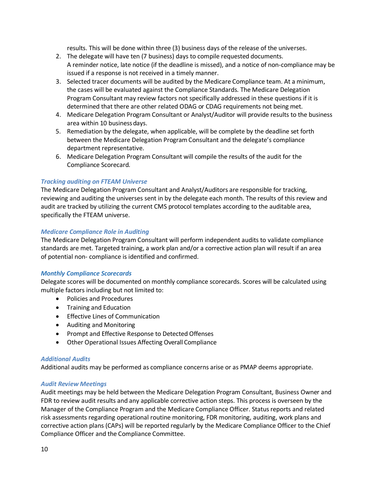results. This will be done within three (3) business days of the release of the universes.

- 2. The delegate will have ten (7 business) days to compile requested documents. A reminder notice, late notice (if the deadline is missed), and a notice of non-compliance may be issued if a response is not received in a timely manner.
- 3. Selected tracer documents will be audited by the Medicare Compliance team. At a minimum, the cases will be evaluated against the Compliance Standards. The Medicare Delegation Program Consultant may review factors not specifically addressed in these questions if it is determined that there are other related ODAG or CDAG requirements not being met.
- 4. Medicare Delegation Program Consultant or Analyst/Auditor will provide results to the business area within 10 businessdays.
- 5. Remediation by the delegate, when applicable, will be complete by the deadline set forth between the Medicare Delegation Program Consultant and the delegate's compliance department representative.
- 6. Medicare Delegation Program Consultant will compile the results of the audit for the Compliance Scorecard.

## <span id="page-9-0"></span>*Tracking auditing on FTEAM Universe*

The Medicare Delegation Program Consultant and Analyst/Auditors are responsible for tracking, reviewing and auditing the universes sent in by the delegate each month. The results of this review and audit are tracked by utilizing the current CMS protocol templates according to the auditable area, specifically the FTEAM universe.

## <span id="page-9-1"></span>*Medicare Compliance Role in Auditing*

The Medicare Delegation Program Consultant will perform independent audits to validate compliance standards are met. Targeted training, a work plan and/or a corrective action plan will result if an area of potential non- compliance is identified and confirmed.

## <span id="page-9-2"></span>*Monthly Compliance Scorecards*

Delegate scores will be documented on monthly compliance scorecards. Scores will be calculated using multiple factors including but not limited to:

- Policies and Procedures
- Training and Education
- Effective Lines of Communication
- Auditing and Monitoring
- Prompt and Effective Response to Detected Offenses
- Other Operational Issues Affecting Overall Compliance

## <span id="page-9-3"></span>*Additional Audits*

Additional audits may be performed as compliance concerns arise or as PMAP deems appropriate.

## <span id="page-9-4"></span>*Audit Review Meetings*

Audit meetings may be held between the Medicare Delegation Program Consultant, Business Owner and FDR to review audit results and any applicable corrective action steps. This process is overseen by the Manager of the Compliance Program and the Medicare Compliance Officer. Status reports and related risk assessments regarding operational routine monitoring, FDR monitoring, auditing, work plans and corrective action plans (CAPs) will be reported regularly by the Medicare Compliance Officer to the Chief Compliance Officer and the Compliance Committee.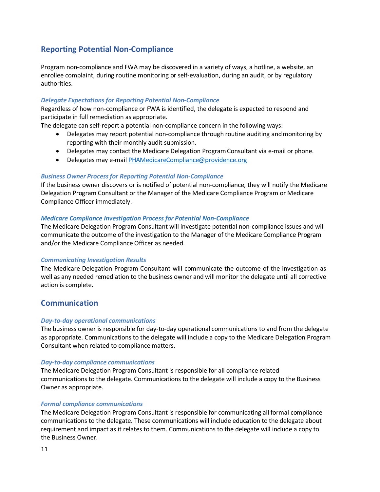# <span id="page-10-0"></span>**Reporting Potential Non-Compliance**

Program non-compliance and FWA may be discovered in a variety of ways, a hotline, a website, an enrollee complaint, during routine monitoring or self-evaluation, during an audit, or by regulatory authorities.

## <span id="page-10-1"></span>*Delegate Expectations for Reporting Potential Non-Compliance*

Regardless of how non-compliance or FWA is identified, the delegate is expected to respond and participate in full remediation as appropriate.

The delegate can self-report a potential non-compliance concern in the following ways:

- Delegates may report potential non-compliance through routine auditing and monitoring by reporting with their monthly audit submission.
- Delegates may contact the Medicare Delegation ProgramConsultant via e-mail or phone.
- Delegates may e-mai[l PHAMedicareCompliance@providence.org](mailto:PHAMedicareCompliance@providence.org)

#### <span id="page-10-2"></span>*Business Owner Process for Reporting Potential Non-Compliance*

If the business owner discovers or is notified of potential non-compliance, they will notify the Medicare Delegation Program Consultant or the Manager of the Medicare Compliance Program or Medicare Compliance Officer immediately.

#### <span id="page-10-3"></span>*Medicare Compliance Investigation Process for Potential Non-Compliance*

The Medicare Delegation Program Consultant will investigate potential non-compliance issues and will communicate the outcome of the investigation to the Manager of the Medicare Compliance Program and/or the Medicare Compliance Officer as needed.

#### <span id="page-10-4"></span>*Communicating Investigation Results*

The Medicare Delegation Program Consultant will communicate the outcome of the investigation as well as any needed remediation to the business owner and will monitor the delegate until all corrective action is complete.

## <span id="page-10-5"></span>**Communication**

#### <span id="page-10-6"></span>*Day-to-day operational communications*

The business owner is responsible for day-to-day operational communications to and from the delegate as appropriate. Communications to the delegate will include a copy to the Medicare Delegation Program Consultant when related to compliance matters.

#### <span id="page-10-7"></span>*Day-to-day compliance communications*

The Medicare Delegation Program Consultant is responsible for all compliance related communications to the delegate. Communications to the delegate will include a copy to the Business Owner as appropriate.

#### <span id="page-10-8"></span>*Formal compliance communications*

The Medicare Delegation Program Consultant is responsible for communicating all formal compliance communications to the delegate. These communications will include education to the delegate about requirement and impact as it relates to them. Communications to the delegate will include a copy to the Business Owner.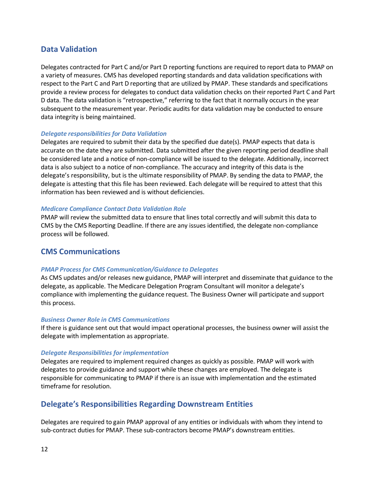# <span id="page-11-0"></span>**Data Validation**

Delegates contracted for Part C and/or Part D reporting functions are required to report data to PMAP on a variety of measures. CMS has developed reporting standards and data validation specifications with respect to the Part C and Part D reporting that are utilized by PMAP. These standards and specifications provide a review process for delegates to conduct data validation checks on their reported Part C and Part D data. The data validation is "retrospective," referring to the fact that it normally occurs in the year subsequent to the measurement year. Periodic audits for data validation may be conducted to ensure data integrity is being maintained.

## <span id="page-11-1"></span>*Delegate responsibilities for Data Validation*

Delegates are required to submit their data by the specified due date(s). PMAP expects that data is accurate on the date they are submitted. Data submitted after the given reporting period deadline shall be considered late and a notice of non-compliance will be issued to the delegate. Additionally, incorrect data is also subject to a notice of non-compliance. The accuracy and integrity of this data is the delegate's responsibility, but is the ultimate responsibility of PMAP. By sending the data to PMAP, the delegate is attesting that this file has been reviewed. Each delegate will be required to attest that this information has been reviewed and is without deficiencies.

#### <span id="page-11-2"></span>*Medicare Compliance Contact Data Validation Role*

PMAP will review the submitted data to ensure that lines total correctly and will submit this data to CMS by the CMS Reporting Deadline. If there are any issues identified, the delegate non-compliance process will be followed.

## <span id="page-11-3"></span>**CMS Communications**

## <span id="page-11-4"></span>*PMAP Process for CMS Communication/Guidance to Delegates*

As CMS updates and/or releases new guidance, PMAP will interpret and disseminate that guidance to the delegate, as applicable. The Medicare Delegation Program Consultant will monitor a delegate's compliance with implementing the guidance request. The Business Owner will participate and support this process.

#### <span id="page-11-5"></span>*Business Owner Role in CMS Communications*

If there is guidance sent out that would impact operational processes, the business owner will assist the delegate with implementation as appropriate.

#### <span id="page-11-6"></span>*Delegate Responsibilities for implementation*

Delegates are required to implement required changes as quickly as possible. PMAP will work with delegates to provide guidance and support while these changes are employed. The delegate is responsible for communicating to PMAP if there is an issue with implementation and the estimated timeframe for resolution.

# <span id="page-11-7"></span>**Delegate's Responsibilities Regarding Downstream Entities**

Delegates are required to gain PMAP approval of any entities or individuals with whom they intend to sub-contract duties for PMAP. These sub-contractors become PMAP's downstream entities.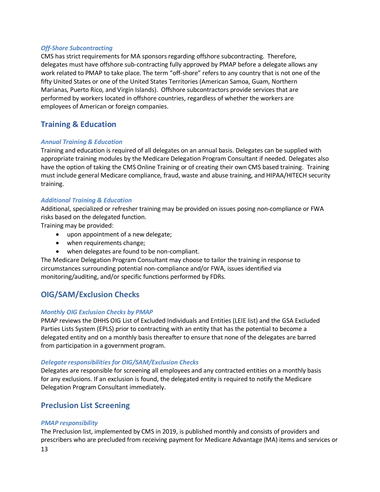## <span id="page-12-0"></span>*Off-Shore Subcontracting*

CMS has strict requirements for MA sponsors regarding offshore subcontracting. Therefore, delegates must have offshore sub-contracting fully approved by PMAP before a delegate allows any work related to PMAP to take place. The term "off-shore" refers to any country that is not one of the fifty United States or one of the United States Territories (American Samoa, Guam, Northern Marianas, Puerto Rico, and Virgin Islands). Offshore subcontractors provide services that are performed by workers located in offshore countries, regardless of whether the workers are employees of American or foreign companies.

# <span id="page-12-1"></span>**Training & Education**

## <span id="page-12-2"></span>*Annual Training & Education*

Training and education is required of all delegates on an annual basis. Delegates can be supplied with appropriate training modules by the Medicare Delegation Program Consultant if needed. Delegates also have the option of taking the CMS Online Training or of creating their own CMS based training. Training must include general Medicare compliance, fraud, waste and abuse training, and HIPAA/HITECH security training.

## <span id="page-12-3"></span>*Additional Training & Education*

Additional, specialized or refresher training may be provided on issues posing non-compliance or FWA risks based on the delegated function.

Training may be provided:

- upon appointment of a new delegate;
- when requirements change;
- when delegates are found to be non-compliant.

The Medicare Delegation Program Consultant may choose to tailor the training in response to circumstances surrounding potential non-compliance and/or FWA, issues identified via monitoring/auditing, and/or specific functions performed by FDRs.

# <span id="page-12-4"></span>**OIG/SAM/Exclusion Checks**

## <span id="page-12-5"></span>*Monthly OIG Exclusion Checks by PMAP*

PMAP reviews the DHHS OIG List of Excluded Individuals and Entities (LEIE list) and the GSA Excluded Parties Lists System (EPLS) prior to contracting with an entity that has the potential to become a delegated entity and on a monthly basis thereafter to ensure that none of the delegates are barred from participation in a government program.

## <span id="page-12-6"></span>*Delegate responsibilities for OIG/SAM/Exclusion Checks*

Delegates are responsible for screening all employees and any contracted entities on a monthly basis for any exclusions. If an exclusion is found, the delegated entity is required to notify the Medicare Delegation Program Consultant immediately.

# <span id="page-12-7"></span>**Preclusion List Screening**

## <span id="page-12-8"></span>*PMAP responsibility*

The Preclusion list, implemented by CMS in 2019, is published monthly and consists of providers and prescribers who are precluded from receiving payment for Medicare Advantage (MA) items and services or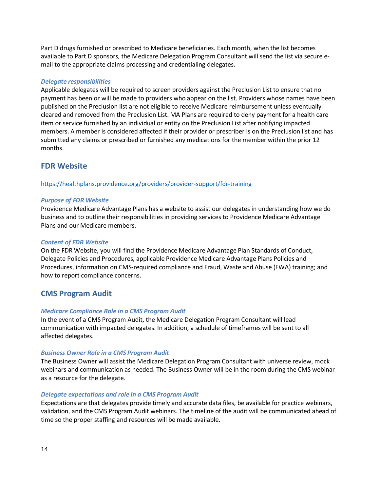Part D drugs furnished or prescribed to Medicare beneficiaries. Each month, when the list becomes available to Part D sponsors, the Medicare Delegation Program Consultant will send the list via secure email to the appropriate claims processing and credentialing delegates.

#### <span id="page-13-0"></span>*Delegate responsibilities*

Applicable delegates will be required to screen providers against the Preclusion List to ensure that no payment has been or will be made to providers who appear on the list. Providers whose names have been published on the Preclusion list are not eligible to receive Medicare reimbursement unless eventually cleared and removed from the Preclusion List. MA Plans are required to deny payment for a health care item or service furnished by an individual or entity on the Preclusion List after notifying impacted members. A member is considered affected if their provider or prescriber is on the Preclusion list and has submitted any claims or prescribed or furnished any medications for the member within the prior 12 months.

# <span id="page-13-1"></span>**FDR Website**

#### <https://healthplans.providence.org/providers/provider-support/fdr-training>

#### *Purpose of FDR Website*

Providence Medicare Advantage Plans has a website to assist our delegates in understanding how we do business and to outline their responsibilities in providing services to Providence Medicare Advantage Plans and our Medicare members.

#### <span id="page-13-2"></span>*Content of FDR Website*

On the FDR Website, you will find the Providence Medicare Advantage Plan Standards of Conduct, Delegate Policies and Procedures, applicable Providence Medicare Advantage Plans Policies and Procedures, information on CMS-required compliance and Fraud, Waste and Abuse (FWA) training; and how to report compliance concerns.

# <span id="page-13-3"></span>**CMS Program Audit**

#### <span id="page-13-4"></span>*Medicare Compliance Role in a CMS Program Audit*

In the event of a CMS Program Audit, the Medicare Delegation Program Consultant will lead communication with impacted delegates. In addition, a schedule of timeframes will be sent to all affected delegates.

#### <span id="page-13-5"></span>*Business Owner Role in a CMS Program Audit*

The Business Owner will assist the Medicare Delegation Program Consultant with universe review, mock webinars and communication as needed. The Business Owner will be in the room during the CMS webinar as a resource for the delegate.

#### <span id="page-13-6"></span>*Delegate expectations and role in a CMS Program Audit*

Expectations are that delegates provide timely and accurate data files, be available for practice webinars, validation, and the CMS Program Audit webinars. The timeline of the audit will be communicated ahead of time so the proper staffing and resources will be made available.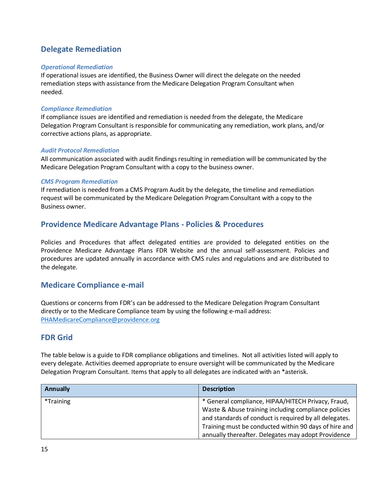# <span id="page-14-0"></span>**Delegate Remediation**

## <span id="page-14-1"></span>*Operational Remediation*

If operational issues are identified, the Business Owner will direct the delegate on the needed remediation steps with assistance from the Medicare Delegation Program Consultant when needed.

## <span id="page-14-2"></span>*Compliance Remediation*

If compliance issues are identified and remediation is needed from the delegate, the Medicare Delegation Program Consultant is responsible for communicating any remediation, work plans, and/or corrective actions plans, as appropriate.

## <span id="page-14-3"></span>*Audit Protocol Remediation*

All communication associated with audit findings resulting in remediation will be communicated by the Medicare Delegation Program Consultant with a copy to the business owner.

## <span id="page-14-4"></span>*CMS Program Remediation*

If remediation is needed from a CMS Program Audit by the delegate, the timeline and remediation request will be communicated by the Medicare Delegation Program Consultant with a copy to the Business owner.

# <span id="page-14-5"></span>**Providence Medicare Advantage Plans - Policies & Procedures**

Policies and Procedures that affect delegated entities are provided to delegated entities on the Providence Medicare Advantage Plans FDR Website and the annual self-assessment. Policies and procedures are updated annually in accordance with CMS rules and regulations and are distributed to the delegate.

# <span id="page-14-6"></span>**Medicare Compliance e-mail**

Questions or concerns from FDR's can be addressed to the Medicare Delegation Program Consultant directly or to the Medicare Compliance team by using the following e-mail address: [PHAMedicareCompliance@providence.org](mailto:PHAMedicareCompliance@providence.org)

# <span id="page-14-7"></span>**FDR Grid**

The table below is a guide to FDR compliance obligations and timelines. Not all activities listed will apply to every delegate. Activities deemed appropriate to ensure oversight will be communicated by the Medicare Delegation Program Consultant. Items that apply to all delegates are indicated with an \*asterisk.

| <b>Annually</b> | <b>Description</b>                                                                                                                                                                                                                                                                   |
|-----------------|--------------------------------------------------------------------------------------------------------------------------------------------------------------------------------------------------------------------------------------------------------------------------------------|
| *Training       | * General compliance, HIPAA/HITECH Privacy, Fraud,<br>Waste & Abuse training including compliance policies<br>and standards of conduct is required by all delegates.<br>Training must be conducted within 90 days of hire and<br>annually thereafter. Delegates may adopt Providence |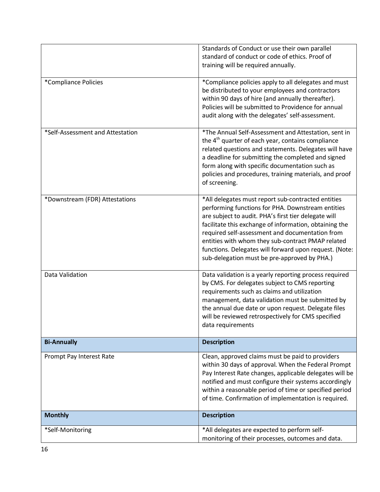|                                  | Standards of Conduct or use their own parallel<br>standard of conduct or code of ethics. Proof of<br>training will be required annually.                                                                                                                                                                                                                                                                                                    |
|----------------------------------|---------------------------------------------------------------------------------------------------------------------------------------------------------------------------------------------------------------------------------------------------------------------------------------------------------------------------------------------------------------------------------------------------------------------------------------------|
| *Compliance Policies             | *Compliance policies apply to all delegates and must<br>be distributed to your employees and contractors<br>within 90 days of hire (and annually thereafter).<br>Policies will be submitted to Providence for annual<br>audit along with the delegates' self-assessment.                                                                                                                                                                    |
| *Self-Assessment and Attestation | *The Annual Self-Assessment and Attestation, sent in<br>the 4 <sup>th</sup> quarter of each year, contains compliance<br>related questions and statements. Delegates will have<br>a deadline for submitting the completed and signed<br>form along with specific documentation such as<br>policies and procedures, training materials, and proof<br>of screening.                                                                           |
| *Downstream (FDR) Attestations   | *All delegates must report sub-contracted entities<br>performing functions for PHA. Downstream entities<br>are subject to audit. PHA's first tier delegate will<br>facilitate this exchange of information, obtaining the<br>required self-assessment and documentation from<br>entities with whom they sub-contract PMAP related<br>functions. Delegates will forward upon request. (Note:<br>sub-delegation must be pre-approved by PHA.) |
| Data Validation                  | Data validation is a yearly reporting process required<br>by CMS. For delegates subject to CMS reporting<br>requirements such as claims and utilization<br>management, data validation must be submitted by<br>the annual due date or upon request. Delegate files<br>will be reviewed retrospectively for CMS specified<br>data requirements                                                                                               |
| <b>Bi-Annually</b>               | <b>Description</b>                                                                                                                                                                                                                                                                                                                                                                                                                          |
| Prompt Pay Interest Rate         | Clean, approved claims must be paid to providers<br>within 30 days of approval. When the Federal Prompt<br>Pay Interest Rate changes, applicable delegates will be<br>notified and must configure their systems accordingly<br>within a reasonable period of time or specified period<br>of time. Confirmation of implementation is required.                                                                                               |
| <b>Monthly</b>                   | <b>Description</b>                                                                                                                                                                                                                                                                                                                                                                                                                          |
| *Self-Monitoring                 | *All delegates are expected to perform self-<br>monitoring of their processes, outcomes and data.                                                                                                                                                                                                                                                                                                                                           |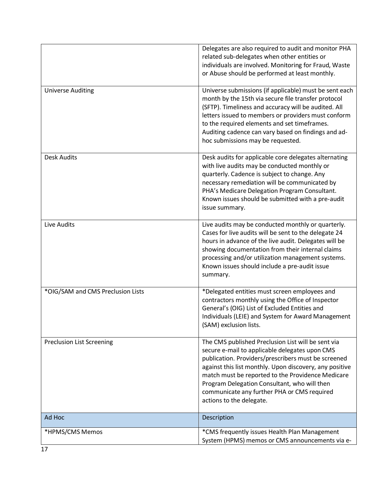| <b>Universe Auditing</b>          | Delegates are also required to audit and monitor PHA<br>related sub-delegates when other entities or<br>individuals are involved. Monitoring for Fraud, Waste<br>or Abuse should be performed at least monthly.<br>Universe submissions (if applicable) must be sent each                                                                                                                              |
|-----------------------------------|--------------------------------------------------------------------------------------------------------------------------------------------------------------------------------------------------------------------------------------------------------------------------------------------------------------------------------------------------------------------------------------------------------|
|                                   | month by the 15th via secure file transfer protocol<br>(SFTP). Timeliness and accuracy will be audited. All<br>letters issued to members or providers must conform<br>to the required elements and set timeframes.<br>Auditing cadence can vary based on findings and ad-<br>hoc submissions may be requested.                                                                                         |
| <b>Desk Audits</b>                | Desk audits for applicable core delegates alternating<br>with live audits may be conducted monthly or<br>quarterly. Cadence is subject to change. Any<br>necessary remediation will be communicated by<br>PHA's Medicare Delegation Program Consultant.<br>Known issues should be submitted with a pre-audit<br>issue summary.                                                                         |
| Live Audits                       | Live audits may be conducted monthly or quarterly.<br>Cases for live audits will be sent to the delegate 24<br>hours in advance of the live audit. Delegates will be<br>showing documentation from their internal claims<br>processing and/or utilization management systems.<br>Known issues should include a pre-audit issue<br>summary.                                                             |
| *OIG/SAM and CMS Preclusion Lists | *Delegated entities must screen employees and<br>contractors monthly using the Office of Inspector<br>General's (OIG) List of Excluded Entities and<br>Individuals (LEIE) and System for Award Management<br>(SAM) exclusion lists.                                                                                                                                                                    |
| <b>Preclusion List Screening</b>  | The CMS published Preclusion List will be sent via<br>secure e-mail to applicable delegates upon CMS<br>publication. Providers/prescribers must be screened<br>against this list monthly. Upon discovery, any positive<br>match must be reported to the Providence Medicare<br>Program Delegation Consultant, who will then<br>communicate any further PHA or CMS required<br>actions to the delegate. |
| Ad Hoc                            | Description                                                                                                                                                                                                                                                                                                                                                                                            |
| *HPMS/CMS Memos                   | *CMS frequently issues Health Plan Management<br>System (HPMS) memos or CMS announcements via e-                                                                                                                                                                                                                                                                                                       |